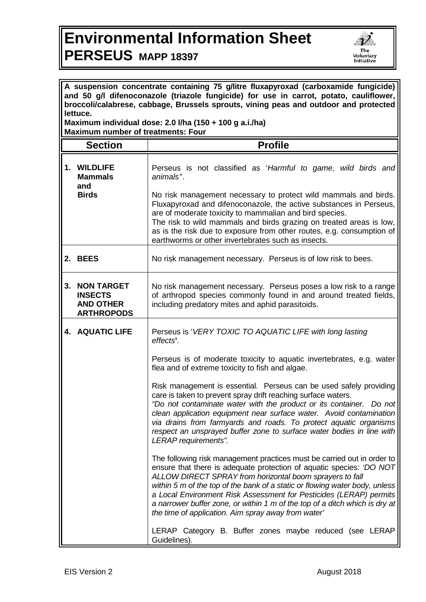## **Environmental Information Sheet PERSEUS MAPP 18397**



| A suspension concentrate containing 75 g/litre fluxapyroxad (carboxamide fungicide)<br>and 50 g/l difenoconazole (triazole fungicide) for use in carrot, potato, cauliflower,<br>broccoli/calabrese, cabbage, Brussels sprouts, vining peas and outdoor and protected<br>lettuce.<br>Maximum individual dose: 2.0 I/ha (150 + 100 g a.i./ha) |                                                                              |                                                                                                                                                                                                                                                                                                                                                                                                                                                                                                        |  |
|----------------------------------------------------------------------------------------------------------------------------------------------------------------------------------------------------------------------------------------------------------------------------------------------------------------------------------------------|------------------------------------------------------------------------------|--------------------------------------------------------------------------------------------------------------------------------------------------------------------------------------------------------------------------------------------------------------------------------------------------------------------------------------------------------------------------------------------------------------------------------------------------------------------------------------------------------|--|
| <b>Maximum number of treatments: Four</b>                                                                                                                                                                                                                                                                                                    |                                                                              |                                                                                                                                                                                                                                                                                                                                                                                                                                                                                                        |  |
|                                                                                                                                                                                                                                                                                                                                              | <b>Section</b>                                                               | <b>Profile</b>                                                                                                                                                                                                                                                                                                                                                                                                                                                                                         |  |
| 1.                                                                                                                                                                                                                                                                                                                                           | <b>WILDLIFE</b><br><b>Mammals</b><br>and<br><b>Birds</b>                     | Perseus is not classified as 'Harmful to game, wild birds and<br>animals <sup>"</sup> .<br>No risk management necessary to protect wild mammals and birds.<br>Fluxapyroxad and difenoconazole, the active substances in Perseus,<br>are of moderate toxicity to mammalian and bird species.<br>The risk to wild mammals and birds grazing on treated areas is low,                                                                                                                                     |  |
|                                                                                                                                                                                                                                                                                                                                              |                                                                              | as is the risk due to exposure from other routes, e.g. consumption of<br>earthworms or other invertebrates such as insects.                                                                                                                                                                                                                                                                                                                                                                            |  |
|                                                                                                                                                                                                                                                                                                                                              | 2. BEES                                                                      | No risk management necessary. Perseus is of low risk to bees.                                                                                                                                                                                                                                                                                                                                                                                                                                          |  |
| 3.                                                                                                                                                                                                                                                                                                                                           | <b>NON TARGET</b><br><b>INSECTS</b><br><b>AND OTHER</b><br><b>ARTHROPODS</b> | No risk management necessary. Perseus poses a low risk to a range<br>of arthropod species commonly found in and around treated fields,<br>including predatory mites and aphid parasitoids.                                                                                                                                                                                                                                                                                                             |  |
|                                                                                                                                                                                                                                                                                                                                              | <b>4. AQUATIC LIFE</b>                                                       | Perseus is 'VERY TOXIC TO AQUATIC LIFE with long lasting<br>effects'.                                                                                                                                                                                                                                                                                                                                                                                                                                  |  |
|                                                                                                                                                                                                                                                                                                                                              |                                                                              | Perseus is of moderate toxicity to aquatic invertebrates, e.g. water<br>flea and of extreme toxicity to fish and algae.                                                                                                                                                                                                                                                                                                                                                                                |  |
|                                                                                                                                                                                                                                                                                                                                              |                                                                              | Risk management is essential. Perseus can be used safely providing<br>care is taken to prevent spray drift reaching surface waters.<br>"Do not contaminate water with the product or its container. Do not<br>clean application equipment near surface water. Avoid contamination<br>via drains from farmyards and roads. To protect aquatic organisms<br>respect an unsprayed buffer zone to surface water bodies in line with<br>LERAP requirements".                                                |  |
|                                                                                                                                                                                                                                                                                                                                              |                                                                              | The following risk management practices must be carried out in order to<br>ensure that there is adequate protection of aquatic species: 'DO NOT<br>ALLOW DIRECT SPRAY from horizontal boom sprayers to fall<br>within 5 m of the top of the bank of a static or flowing water body, unless<br>a Local Environment Risk Assessment for Pesticides (LERAP) permits<br>a narrower buffer zone, or within 1 m of the top of a ditch which is dry at<br>the time of application. Aim spray away from water' |  |
|                                                                                                                                                                                                                                                                                                                                              |                                                                              | LERAP Category B. Buffer zones maybe reduced (see LERAP<br>Guidelines).                                                                                                                                                                                                                                                                                                                                                                                                                                |  |